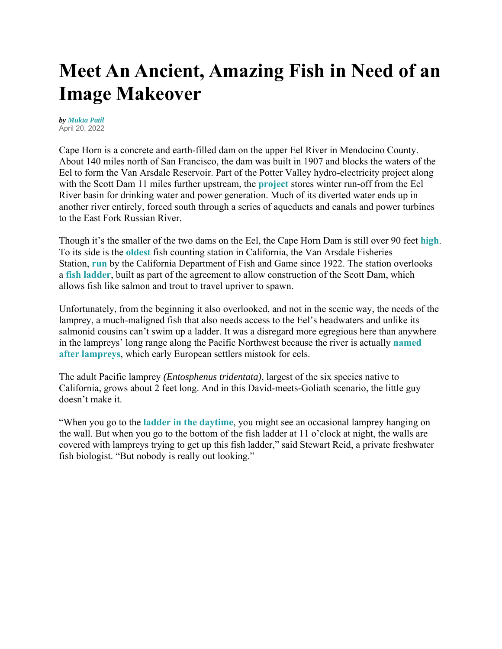## **Meet An Ancient, Amazing Fish in Need of an Image Makeover**

*by Mukta Patil* April 20, 2022

Cape Horn is a concrete and earth-filled dam on the upper Eel River in Mendocino County. About 140 miles north of San Francisco, the dam was built in 1907 and blocks the waters of the Eel to form the Van Arsdale Reservoir. Part of the Potter Valley hydro-electricity project along with the Scott Dam 11 miles further upstream, the **project** stores winter run-off from the Eel River basin for drinking water and power generation. Much of its diverted water ends up in another river entirely, forced south through a series of aqueducts and canals and power turbines to the East Fork Russian River.

Though it's the smaller of the two dams on the Eel, the Cape Horn Dam is still over 90 feet **high**. To its side is the **oldest** fish counting station in California, the Van Arsdale Fisheries Station, **run** by the California Department of Fish and Game since 1922. The station overlooks a **fish ladder**, built as part of the agreement to allow construction of the Scott Dam, which allows fish like salmon and trout to travel upriver to spawn.

Unfortunately, from the beginning it also overlooked, and not in the scenic way, the needs of the lamprey, a much-maligned fish that also needs access to the Eel's headwaters and unlike its salmonid cousins can't swim up a ladder. It was a disregard more egregious here than anywhere in the lampreys' long range along the Pacific Northwest because the river is actually **named after lampreys**, which early European settlers mistook for eels.

The adult Pacific lamprey *(Entosphenus tridentata)*, largest of the six species native to California, grows about 2 feet long. And in this David-meets-Goliath scenario, the little guy doesn't make it.

"When you go to the **ladder in the daytime**, you might see an occasional lamprey hanging on the wall. But when you go to the bottom of the fish ladder at 11 o'clock at night, the walls are covered with lampreys trying to get up this fish ladder," said Stewart Reid, a private freshwater fish biologist. "But nobody is really out looking."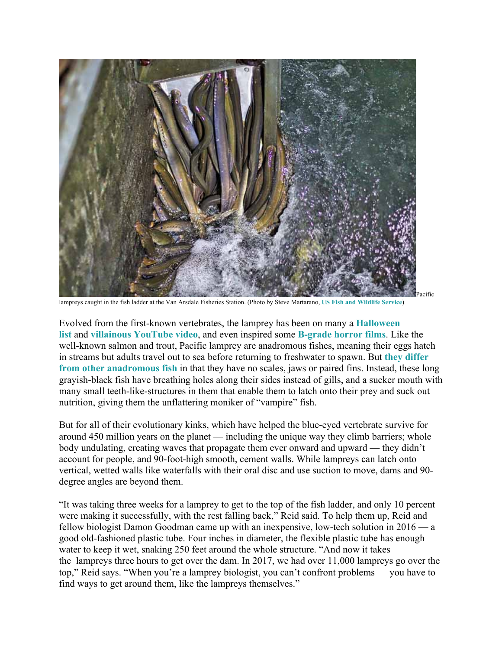

lampreys caught in the fish ladder at the Van Arsdale Fisheries Station. (Photo by Steve Martarano, **US Fish and Wildlife Service**)

Evolved from the first-known vertebrates, the lamprey has been on many a **Halloween list** and **villainous YouTube video**, and even inspired some **B-grade horror films**. Like the well-known salmon and trout, Pacific lamprey are anadromous fishes, meaning their eggs hatch in streams but adults travel out to sea before returning to freshwater to spawn. But **they differ from other anadromous fish** in that they have no scales, jaws or paired fins. Instead, these long grayish-black fish have breathing holes along their sides instead of gills, and a sucker mouth with many small teeth-like-structures in them that enable them to latch onto their prey and suck out nutrition, giving them the unflattering moniker of "vampire" fish.

But for all of their evolutionary kinks, which have helped the blue-eyed vertebrate survive for around 450 million years on the planet — including the unique way they climb barriers; whole body undulating, creating waves that propagate them ever onward and upward — they didn't account for people, and 90-foot-high smooth, cement walls. While lampreys can latch onto vertical, wetted walls like waterfalls with their oral disc and use suction to move, dams and 90 degree angles are beyond them.

"It was taking three weeks for a lamprey to get to the top of the fish ladder, and only 10 percent were making it successfully, with the rest falling back," Reid said. To help them up, Reid and fellow biologist Damon Goodman came up with an inexpensive, low-tech solution in 2016 — a good old-fashioned plastic tube. Four inches in diameter, the flexible plastic tube has enough water to keep it wet, snaking 250 feet around the whole structure. "And now it takes the lampreys three hours to get over the dam. In 2017, we had over 11,000 lampreys go over the top," Reid says. "When you're a lamprey biologist, you can't confront problems — you have to find ways to get around them, like the lampreys themselves."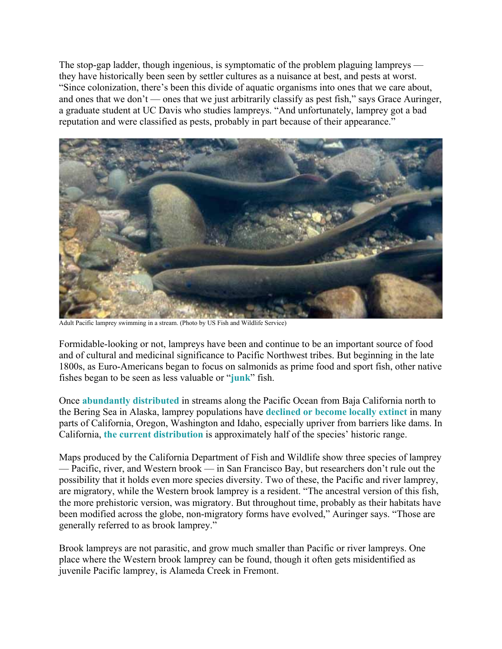The stop-gap ladder, though ingenious, is symptomatic of the problem plaguing lampreys they have historically been seen by settler cultures as a nuisance at best, and pests at worst. "Since colonization, there's been this divide of aquatic organisms into ones that we care about, and ones that we don't — ones that we just arbitrarily classify as pest fish," says Grace Auringer, a graduate student at UC Davis who studies lampreys. "And unfortunately, lamprey got a bad reputation and were classified as pests, probably in part because of their appearance."



Adult Pacific lamprey swimming in a stream. (Photo by US Fish and Wildlife Service)

Formidable-looking or not, lampreys have been and continue to be an important source of food and of cultural and medicinal significance to Pacific Northwest tribes. But beginning in the late 1800s, as Euro-Americans began to focus on salmonids as prime food and sport fish, other native fishes began to be seen as less valuable or "**junk**" fish.

Once **abundantly distributed** in streams along the Pacific Ocean from Baja California north to the Bering Sea in Alaska, lamprey populations have **declined or become locally extinct** in many parts of California, Oregon, Washington and Idaho, especially upriver from barriers like dams. In California, **the current distribution** is approximately half of the species' historic range.

Maps produced by the California Department of Fish and Wildlife show three species of lamprey — Pacific, river, and Western brook — in San Francisco Bay, but researchers don't rule out the possibility that it holds even more species diversity. Two of these, the Pacific and river lamprey, are migratory, while the Western brook lamprey is a resident. "The ancestral version of this fish, the more prehistoric version, was migratory. But throughout time, probably as their habitats have been modified across the globe, non-migratory forms have evolved," Auringer says. "Those are generally referred to as brook lamprey."

Brook lampreys are not parasitic, and grow much smaller than Pacific or river lampreys. One place where the Western brook lamprey can be found, though it often gets misidentified as juvenile Pacific lamprey, is Alameda Creek in Fremont.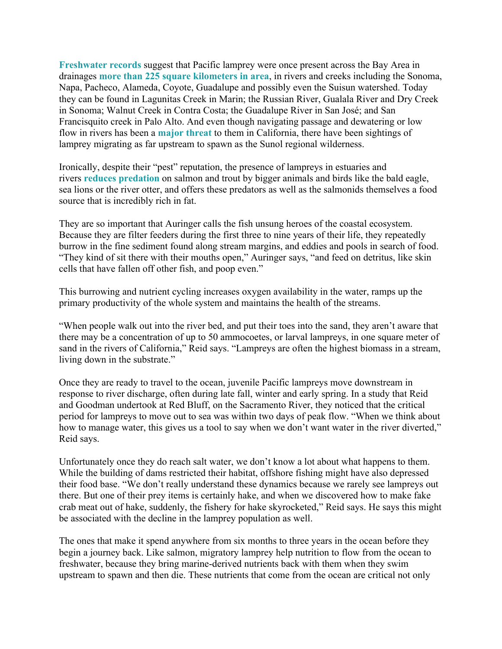**Freshwater records** suggest that Pacific lamprey were once present across the Bay Area in drainages **more than 225 square kilometers in area**, in rivers and creeks including the Sonoma, Napa, Pacheco, Alameda, Coyote, Guadalupe and possibly even the Suisun watershed. Today they can be found in Lagunitas Creek in Marin; the Russian River, Gualala River and Dry Creek in Sonoma; Walnut Creek in Contra Costa; the Guadalupe River in San José; and San Francisquito creek in Palo Alto. And even though navigating passage and dewatering or low flow in rivers has been a **major threat** to them in California, there have been sightings of lamprey migrating as far upstream to spawn as the Sunol regional wilderness.

Ironically, despite their "pest" reputation, the presence of lampreys in estuaries and rivers **reduces predation** on salmon and trout by bigger animals and birds like the bald eagle, sea lions or the river otter, and offers these predators as well as the salmonids themselves a food source that is incredibly rich in fat.

They are so important that Auringer calls the fish unsung heroes of the coastal ecosystem. Because they are filter feeders during the first three to nine years of their life, they repeatedly burrow in the fine sediment found along stream margins, and eddies and pools in search of food. "They kind of sit there with their mouths open," Auringer says, "and feed on detritus, like skin cells that have fallen off other fish, and poop even."

This burrowing and nutrient cycling increases oxygen availability in the water, ramps up the primary productivity of the whole system and maintains the health of the streams.

"When people walk out into the river bed, and put their toes into the sand, they aren't aware that there may be a concentration of up to 50 ammocoetes, or larval lampreys, in one square meter of sand in the rivers of California," Reid says. "Lampreys are often the highest biomass in a stream, living down in the substrate."

Once they are ready to travel to the ocean, juvenile Pacific lampreys move downstream in response to river discharge, often during late fall, winter and early spring. In a study that Reid and Goodman undertook at Red Bluff, on the Sacramento River, they noticed that the critical period for lampreys to move out to sea was within two days of peak flow. "When we think about how to manage water, this gives us a tool to say when we don't want water in the river diverted," Reid says.

Unfortunately once they do reach salt water, we don't know a lot about what happens to them. While the building of dams restricted their habitat, offshore fishing might have also depressed their food base. "We don't really understand these dynamics because we rarely see lampreys out there. But one of their prey items is certainly hake, and when we discovered how to make fake crab meat out of hake, suddenly, the fishery for hake skyrocketed," Reid says. He says this might be associated with the decline in the lamprey population as well.

The ones that make it spend anywhere from six months to three years in the ocean before they begin a journey back. Like salmon, migratory lamprey help nutrition to flow from the ocean to freshwater, because they bring marine-derived nutrients back with them when they swim upstream to spawn and then die. These nutrients that come from the ocean are critical not only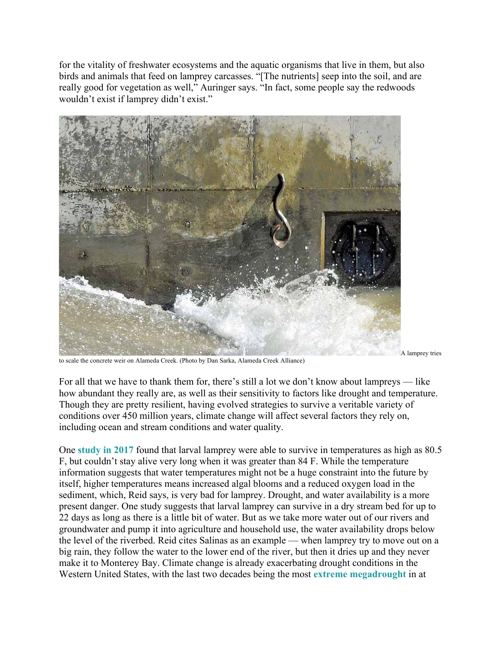for the vitality of freshwater ecosystems and the aquatic organisms that live in them, but also birds and animals that feed on lamprey carcasses. "[The nutrients] seep into the soil, and are really good for vegetation as well," Auringer says. "In fact, some people say the redwoods wouldn't exist if lamprey didn't exist."



to scale the concrete weir on Alameda Creek. (Photo by Dan Sarka, Alameda Creek Alliance)

A lamprey tries

For all that we have to thank them for, there's still a lot we don't know about lampreys — like how abundant they really are, as well as their sensitivity to factors like drought and temperature. Though they are pretty resilient, having evolved strategies to survive a veritable variety of conditions over 450 million years, climate change will affect several factors they rely on, including ocean and stream conditions and water quality.

One **study in 2017** found that larval lamprey were able to survive in temperatures as high as 80.5 F, but couldn't stay alive very long when it was greater than 84 F. While the temperature information suggests that water temperatures might not be a huge constraint into the future by itself, higher temperatures means increased algal blooms and a reduced oxygen load in the sediment, which, Reid says, is very bad for lamprey. Drought, and water availability is a more present danger. One study suggests that larval lamprey can survive in a dry stream bed for up to 22 days as long as there is a little bit of water. But as we take more water out of our rivers and groundwater and pump it into agriculture and household use, the water availability drops below the level of the riverbed. Reid cites Salinas as an example — when lamprey try to move out on a big rain, they follow the water to the lower end of the river, but then it dries up and they never make it to Monterey Bay. Climate change is already exacerbating drought conditions in the Western United States, with the last two decades being the most **extreme megadrought** in at